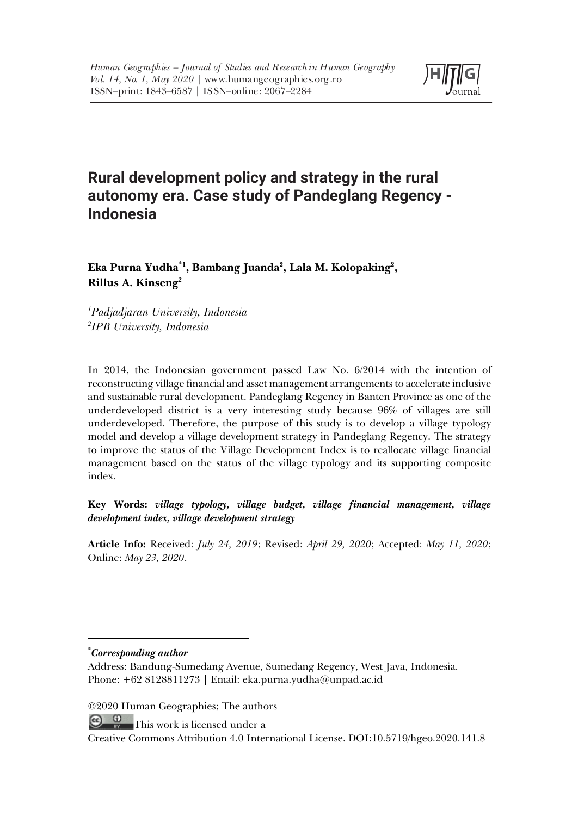

# **Rural development policy and strategy in the rural autonomy era. Case study of Pandeglang Regency - Indonesia**

Eka Purna Yudha<sup>\*1</sup>, Bambang Juanda<sup>2</sup>, Lala M. Kolopaking<sup>2</sup>, **Rillus A. Kinseng2**

*1 Padjadjaran University, Indonesia 2 IPB University, Indonesia*

In 2014, the Indonesian government passed Law No. 6/2014 with the intention of reconstructing village financial and asset management arrangements to accelerate inclusive and sustainable rural development. Pandeglang Regency in Banten Province as one of the underdeveloped district is a very interesting study because 96% of villages are still underdeveloped. Therefore, the purpose of this study is to develop a village typology model and develop a village development strategy in Pandeglang Regency. The strategy to improve the status of the Village Development Index is to reallocate village financial management based on the status of the village typology and its supporting composite index.

**Key Words:** *village typology, village budget, village financial management, village development index, village development strategy*

**Article Info:** Received: *July 24, 2019*; Revised: *April 29, 2020*; Accepted: *May 11, 2020*; Online: *May 23, 2020*.

\* *Corresponding author* 

©2020 Human Geographies; The authors

 $\circ$   $\circ$ This work is licensed under a

Creative Commons Attribution 4.0 International License. DOI:10.5719/hgeo.2020.141.8

Address: Bandung-Sumedang Avenue, Sumedang Regency, West Java, Indonesia. Phone: +62 8128811273 | Email: eka.purna.yudha@unpad.ac.id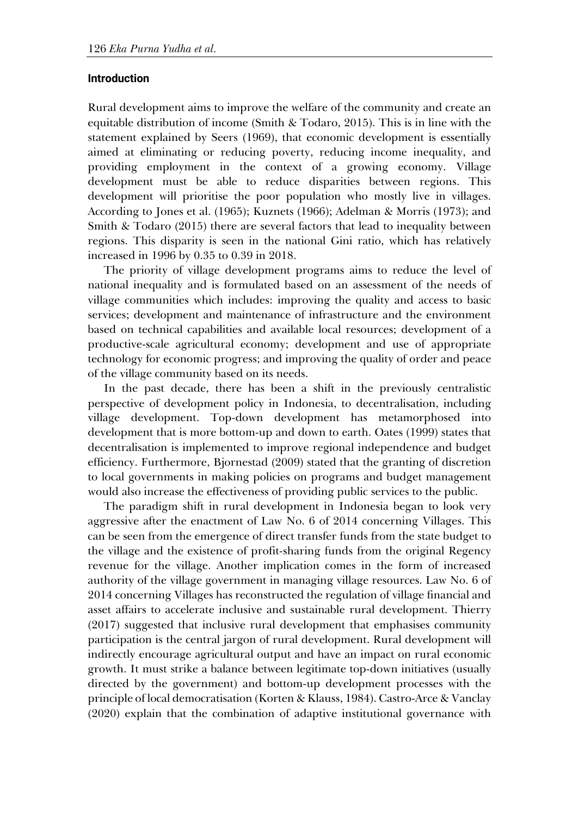#### **Introduction**

Rural development aims to improve the welfare of the community and create an equitable distribution of income (Smith & Todaro, 2015). This is in line with the statement explained by Seers (1969), that economic development is essentially aimed at eliminating or reducing poverty, reducing income inequality, and providing employment in the context of a growing economy. Village development must be able to reduce disparities between regions. This development will prioritise the poor population who mostly live in villages. According to Jones et al. (1965); Kuznets (1966); Adelman & Morris (1973); and Smith & Todaro (2015) there are several factors that lead to inequality between regions. This disparity is seen in the national Gini ratio, which has relatively increased in 1996 by 0.35 to 0.39 in 2018.

The priority of village development programs aims to reduce the level of national inequality and is formulated based on an assessment of the needs of village communities which includes: improving the quality and access to basic services; development and maintenance of infrastructure and the environment based on technical capabilities and available local resources; development of a productive-scale agricultural economy; development and use of appropriate technology for economic progress; and improving the quality of order and peace of the village community based on its needs.

In the past decade, there has been a shift in the previously centralistic perspective of development policy in Indonesia, to decentralisation, including village development. Top-down development has metamorphosed into development that is more bottom-up and down to earth. Oates (1999) states that decentralisation is implemented to improve regional independence and budget efficiency. Furthermore, Bjornestad (2009) stated that the granting of discretion to local governments in making policies on programs and budget management would also increase the effectiveness of providing public services to the public.

The paradigm shift in rural development in Indonesia began to look very aggressive after the enactment of Law No. 6 of 2014 concerning Villages. This can be seen from the emergence of direct transfer funds from the state budget to the village and the existence of profit-sharing funds from the original Regency revenue for the village. Another implication comes in the form of increased authority of the village government in managing village resources. Law No. 6 of 2014 concerning Villages has reconstructed the regulation of village financial and asset affairs to accelerate inclusive and sustainable rural development. Thierry (2017) suggested that inclusive rural development that emphasises community participation is the central jargon of rural development. Rural development will indirectly encourage agricultural output and have an impact on rural economic growth. It must strike a balance between legitimate top-down initiatives (usually directed by the government) and bottom-up development processes with the principle of local democratisation (Korten & Klauss, 1984). Castro-Arce & Vanclay (2020) explain that the combination of adaptive institutional governance with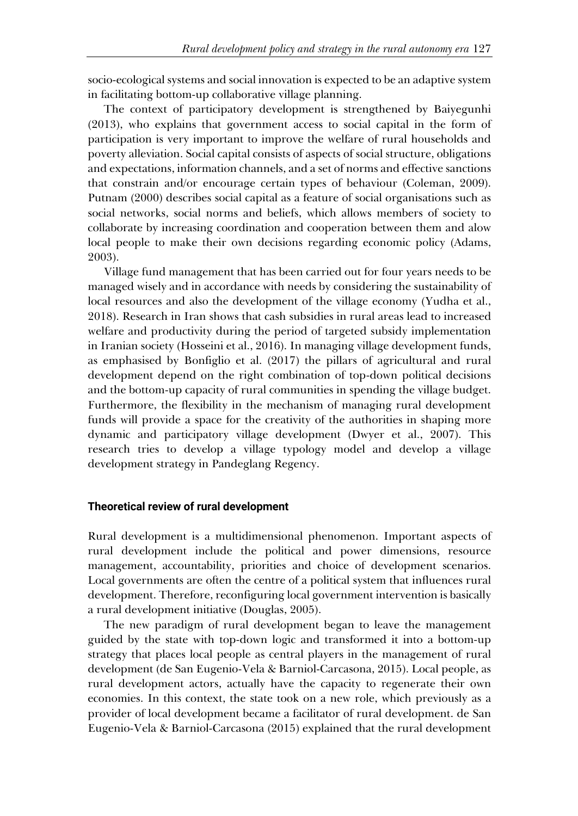socio-ecological systems and social innovation is expected to be an adaptive system in facilitating bottom-up collaborative village planning.

The context of participatory development is strengthened by Baiyegunhi (2013), who explains that government access to social capital in the form of participation is very important to improve the welfare of rural households and poverty alleviation. Social capital consists of aspects of social structure, obligations and expectations, information channels, and a set of norms and effective sanctions that constrain and/or encourage certain types of behaviour (Coleman, 2009). Putnam (2000) describes social capital as a feature of social organisations such as social networks, social norms and beliefs, which allows members of society to collaborate by increasing coordination and cooperation between them and alow local people to make their own decisions regarding economic policy (Adams, 2003).

Village fund management that has been carried out for four years needs to be managed wisely and in accordance with needs by considering the sustainability of local resources and also the development of the village economy (Yudha et al., 2018). Research in Iran shows that cash subsidies in rural areas lead to increased welfare and productivity during the period of targeted subsidy implementation in Iranian society (Hosseini et al., 2016). In managing village development funds, as emphasised by Bonfiglio et al. (2017) the pillars of agricultural and rural development depend on the right combination of top-down political decisions and the bottom-up capacity of rural communities in spending the village budget. Furthermore, the flexibility in the mechanism of managing rural development funds will provide a space for the creativity of the authorities in shaping more dynamic and participatory village development (Dwyer et al., 2007). This research tries to develop a village typology model and develop a village development strategy in Pandeglang Regency.

### **Theoretical review of rural development**

Rural development is a multidimensional phenomenon. Important aspects of rural development include the political and power dimensions, resource management, accountability, priorities and choice of development scenarios. Local governments are often the centre of a political system that influences rural development. Therefore, reconfiguring local government intervention is basically a rural development initiative (Douglas, 2005).

The new paradigm of rural development began to leave the management guided by the state with top-down logic and transformed it into a bottom-up strategy that places local people as central players in the management of rural development (de San Eugenio-Vela & Barniol-Carcasona, 2015). Local people, as rural development actors, actually have the capacity to regenerate their own economies. In this context, the state took on a new role, which previously as a provider of local development became a facilitator of rural development. de San Eugenio-Vela & Barniol-Carcasona (2015) explained that the rural development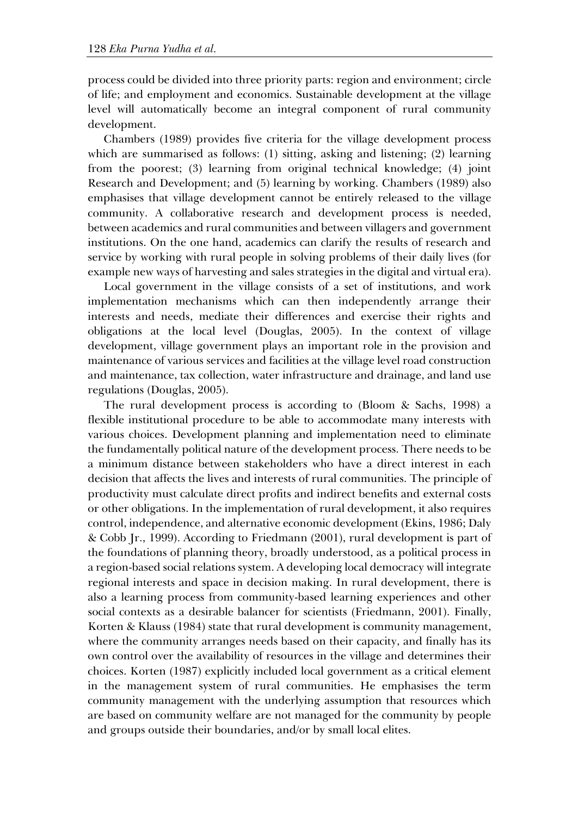process could be divided into three priority parts: region and environment; circle of life; and employment and economics. Sustainable development at the village level will automatically become an integral component of rural community development.

Chambers (1989) provides five criteria for the village development process which are summarised as follows: (1) sitting, asking and listening; (2) learning from the poorest; (3) learning from original technical knowledge; (4) joint Research and Development; and (5) learning by working. Chambers (1989) also emphasises that village development cannot be entirely released to the village community. A collaborative research and development process is needed, between academics and rural communities and between villagers and government institutions. On the one hand, academics can clarify the results of research and service by working with rural people in solving problems of their daily lives (for example new ways of harvesting and sales strategies in the digital and virtual era).

Local government in the village consists of a set of institutions, and work implementation mechanisms which can then independently arrange their interests and needs, mediate their differences and exercise their rights and obligations at the local level (Douglas, 2005). In the context of village development, village government plays an important role in the provision and maintenance of various services and facilities at the village level road construction and maintenance, tax collection, water infrastructure and drainage, and land use regulations (Douglas, 2005).

The rural development process is according to (Bloom & Sachs, 1998) a flexible institutional procedure to be able to accommodate many interests with various choices. Development planning and implementation need to eliminate the fundamentally political nature of the development process. There needs to be a minimum distance between stakeholders who have a direct interest in each decision that affects the lives and interests of rural communities. The principle of productivity must calculate direct profits and indirect benefits and external costs or other obligations. In the implementation of rural development, it also requires control, independence, and alternative economic development (Ekins, 1986; Daly & Cobb Jr., 1999). According to Friedmann (2001), rural development is part of the foundations of planning theory, broadly understood, as a political process in a region-based social relations system. A developing local democracy will integrate regional interests and space in decision making. In rural development, there is also a learning process from community-based learning experiences and other social contexts as a desirable balancer for scientists (Friedmann, 2001). Finally, Korten & Klauss (1984) state that rural development is community management, where the community arranges needs based on their capacity, and finally has its own control over the availability of resources in the village and determines their choices. Korten (1987) explicitly included local government as a critical element in the management system of rural communities. He emphasises the term community management with the underlying assumption that resources which are based on community welfare are not managed for the community by people and groups outside their boundaries, and/or by small local elites.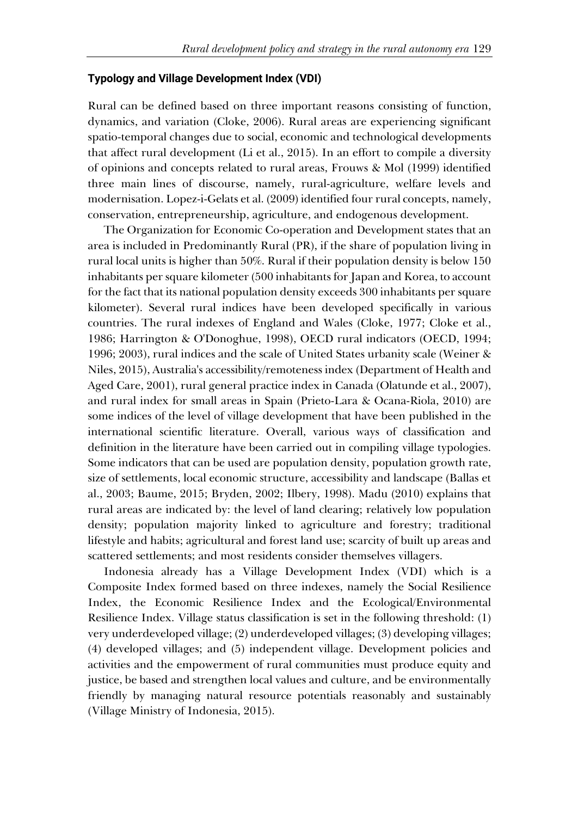## **Typology and Village Development Index (VDI)**

Rural can be defined based on three important reasons consisting of function, dynamics, and variation (Cloke, 2006). Rural areas are experiencing significant spatio-temporal changes due to social, economic and technological developments that affect rural development (Li et al., 2015). In an effort to compile a diversity of opinions and concepts related to rural areas, Frouws & Mol (1999) identified three main lines of discourse, namely, rural-agriculture, welfare levels and modernisation. Lopez-i-Gelats et al. (2009) identified four rural concepts, namely, conservation, entrepreneurship, agriculture, and endogenous development.

The Organization for Economic Co-operation and Development states that an area is included in Predominantly Rural (PR), if the share of population living in rural local units is higher than 50%. Rural if their population density is below 150 inhabitants per square kilometer (500 inhabitants for Japan and Korea, to account for the fact that its national population density exceeds 300 inhabitants per square kilometer). Several rural indices have been developed specifically in various countries. The rural indexes of England and Wales (Cloke, 1977; Cloke et al., 1986; Harrington & O'Donoghue, 1998), OECD rural indicators (OECD, 1994; 1996; 2003), rural indices and the scale of United States urbanity scale (Weiner & Niles, 2015), Australia's accessibility/remoteness index (Department of Health and Aged Care, 2001), rural general practice index in Canada (Olatunde et al., 2007), and rural index for small areas in Spain (Prieto-Lara & Ocana-Riola, 2010) are some indices of the level of village development that have been published in the international scientific literature. Overall, various ways of classification and definition in the literature have been carried out in compiling village typologies. Some indicators that can be used are population density, population growth rate, size of settlements, local economic structure, accessibility and landscape (Ballas et al., 2003; Baume, 2015; Bryden, 2002; Ilbery, 1998). Madu (2010) explains that rural areas are indicated by: the level of land clearing; relatively low population density; population majority linked to agriculture and forestry; traditional lifestyle and habits; agricultural and forest land use; scarcity of built up areas and scattered settlements; and most residents consider themselves villagers.

Indonesia already has a Village Development Index (VDI) which is a Composite Index formed based on three indexes, namely the Social Resilience Index, the Economic Resilience Index and the Ecological/Environmental Resilience Index. Village status classification is set in the following threshold: (1) very underdeveloped village; (2) underdeveloped villages; (3) developing villages; (4) developed villages; and (5) independent village. Development policies and activities and the empowerment of rural communities must produce equity and justice, be based and strengthen local values and culture, and be environmentally friendly by managing natural resource potentials reasonably and sustainably (Village Ministry of Indonesia, 2015).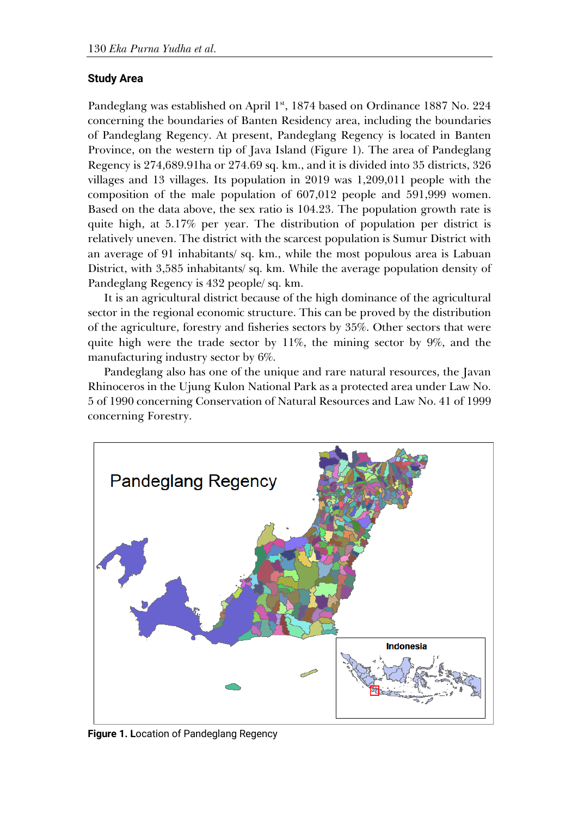# **Study Area**

Pandeglang was established on April 1<sup>st</sup>, 1874 based on Ordinance 1887 No. 224 concerning the boundaries of Banten Residency area, including the boundaries of Pandeglang Regency. At present, Pandeglang Regency is located in Banten Province, on the western tip of Java Island (Figure 1). The area of Pandeglang Regency is 274,689.91ha or 274.69 sq. km., and it is divided into 35 districts, 326 villages and 13 villages. Its population in 2019 was 1,209,011 people with the composition of the male population of 607,012 people and 591,999 women. Based on the data above, the sex ratio is 104.23. The population growth rate is quite high, at 5.17% per year. The distribution of population per district is relatively uneven. The district with the scarcest population is Sumur District with an average of 91 inhabitants/ sq. km., while the most populous area is Labuan District, with 3,585 inhabitants/ sq. km. While the average population density of Pandeglang Regency is 432 people/ sq. km.

It is an agricultural district because of the high dominance of the agricultural sector in the regional economic structure. This can be proved by the distribution of the agriculture, forestry and fisheries sectors by 35%. Other sectors that were quite high were the trade sector by  $11\%$ , the mining sector by  $9\%$ , and the manufacturing industry sector by 6%.

Pandeglang also has one of the unique and rare natural resources, the Javan Rhinoceros in the Ujung Kulon National Park as a protected area under Law No. 5 of 1990 concerning Conservation of Natural Resources and Law No. 41 of 1999 concerning Forestry.



**Figure 1. L**ocation of Pandeglang Regency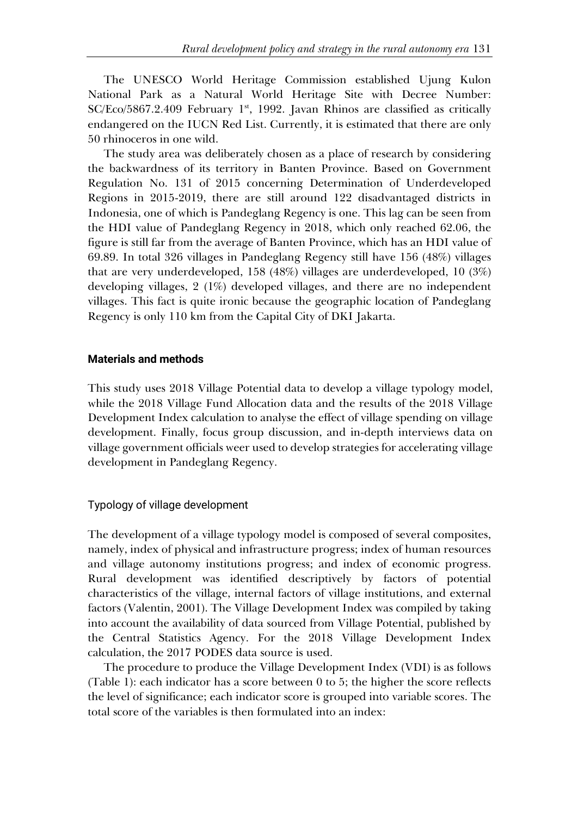The UNESCO World Heritage Commission established Ujung Kulon National Park as a Natural World Heritage Site with Decree Number:  $SC/Eco/5867.2.409$  February 1<sup>st</sup>, 1992. Javan Rhinos are classified as critically endangered on the IUCN Red List. Currently, it is estimated that there are only 50 rhinoceros in one wild.

The study area was deliberately chosen as a place of research by considering the backwardness of its territory in Banten Province. Based on Government Regulation No. 131 of 2015 concerning Determination of Underdeveloped Regions in 2015-2019, there are still around 122 disadvantaged districts in Indonesia, one of which is Pandeglang Regency is one. This lag can be seen from the HDI value of Pandeglang Regency in 2018, which only reached 62.06, the figure is still far from the average of Banten Province, which has an HDI value of 69.89. In total 326 villages in Pandeglang Regency still have 156 (48%) villages that are very underdeveloped, 158 (48%) villages are underdeveloped, 10 (3%) developing villages, 2 (1%) developed villages, and there are no independent villages. This fact is quite ironic because the geographic location of Pandeglang Regency is only 110 km from the Capital City of DKI Jakarta.

#### **Materials and methods**

This study uses 2018 Village Potential data to develop a village typology model, while the 2018 Village Fund Allocation data and the results of the 2018 Village Development Index calculation to analyse the effect of village spending on village development. Finally, focus group discussion, and in-depth interviews data on village government officials weer used to develop strategies for accelerating village development in Pandeglang Regency.

#### Typology of village development

The development of a village typology model is composed of several composites, namely, index of physical and infrastructure progress; index of human resources and village autonomy institutions progress; and index of economic progress. Rural development was identified descriptively by factors of potential characteristics of the village, internal factors of village institutions, and external factors (Valentin, 2001). The Village Development Index was compiled by taking into account the availability of data sourced from Village Potential, published by the Central Statistics Agency. For the 2018 Village Development Index calculation, the 2017 PODES data source is used.

The procedure to produce the Village Development Index (VDI) is as follows (Table 1): each indicator has a score between 0 to 5; the higher the score reflects the level of significance; each indicator score is grouped into variable scores. The total score of the variables is then formulated into an index: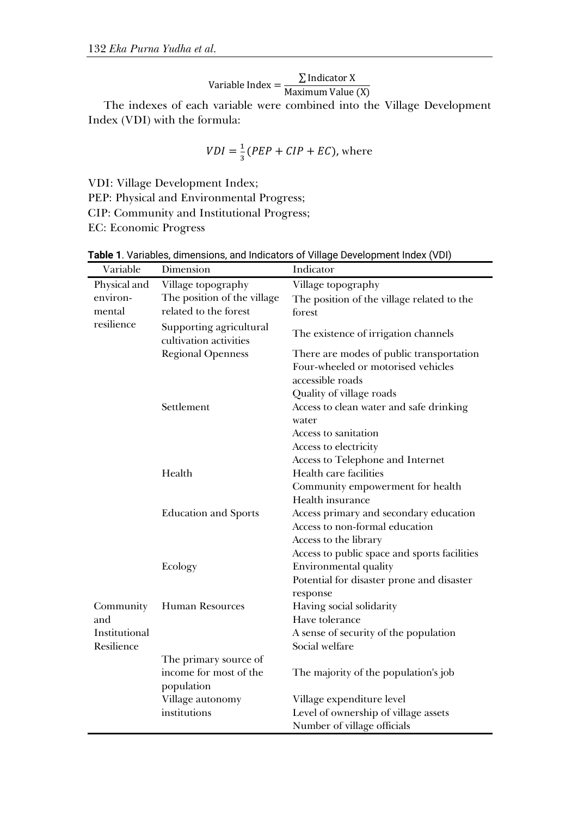Variable Index =  $\frac{\sum \text{Indicator X}}{\text{Maximum Value (X)}}$ 

The indexes of each variable were combined into the Village Development Index (VDI) with the formula:

$$
VDI = \frac{1}{3}(PEP + CIP + EC), \text{where}
$$

VDI: Village Development Index;

PEP: Physical and Environmental Progress;

CIP: Community and Institutional Progress;

EC: Economic Progress

| Variable      | Dimension                                         | Indicator                                    |
|---------------|---------------------------------------------------|----------------------------------------------|
| Physical and  | Village topography                                | Village topography                           |
| environ-      | The position of the village                       | The position of the village related to the   |
| mental        | related to the forest                             | forest.                                      |
| resilience    | Supporting agricultural<br>cultivation activities | The existence of irrigation channels         |
|               | <b>Regional Openness</b>                          | There are modes of public transportation     |
|               |                                                   | Four-wheeled or motorised vehicles           |
|               |                                                   | accessible roads                             |
|               |                                                   | Quality of village roads                     |
|               | Settlement                                        | Access to clean water and safe drinking      |
|               |                                                   | water                                        |
|               |                                                   | Access to sanitation                         |
|               |                                                   | Access to electricity                        |
|               |                                                   | Access to Telephone and Internet             |
|               | Health                                            | Health care facilities                       |
|               |                                                   | Community empowerment for health             |
|               |                                                   | Health insurance                             |
|               | <b>Education and Sports</b>                       | Access primary and secondary education       |
|               |                                                   | Access to non-formal education               |
|               |                                                   | Access to the library                        |
|               |                                                   | Access to public space and sports facilities |
|               | Ecology                                           | Environmental quality                        |
|               |                                                   | Potential for disaster prone and disaster    |
|               |                                                   | response                                     |
| Community     | <b>Human Resources</b>                            | Having social solidarity                     |
| and           |                                                   | Have tolerance                               |
| Institutional |                                                   | A sense of security of the population        |
| Resilience    |                                                   | Social welfare                               |
|               | The primary source of                             |                                              |
|               | income for most of the                            | The majority of the population's job         |
|               | population                                        |                                              |
|               | Village autonomy                                  | Village expenditure level                    |
|               | institutions                                      | Level of ownership of village assets         |
|               |                                                   | Number of village officials                  |

**Table 1**. Variables, dimensions, and Indicators of Village Development Index (VDI)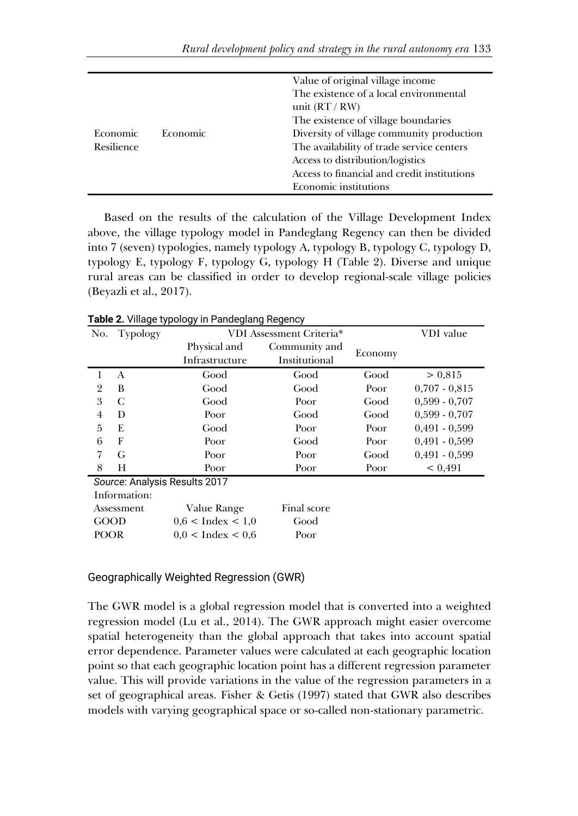|                 |                 | Value of original village income            |
|-----------------|-----------------|---------------------------------------------|
|                 |                 | The existence of a local environmental      |
|                 |                 | unit $(RT/RW)$                              |
|                 |                 | The existence of village boundaries         |
| <b>Economic</b> | <b>Economic</b> | Diversity of village community production   |
| Resilience      |                 | The availability of trade service centers   |
|                 |                 | Access to distribution/logistics            |
|                 |                 | Access to financial and credit institutions |
|                 |                 | <b>Economic institutions</b>                |

Based on the results of the calculation of the Village Development Index above, the village typology model in Pandeglang Regency can then be divided into 7 (seven) typologies, namely typology A, typology B, typology C, typology D, typology E, typology F, typology G, typology H (Table 2). Diverse and unique rural areas can be classified in order to develop regional-scale village policies (Beyazli et al., 2017).

| No.                           | Typology | VDI Assessment Criteria* |               |         | VDI value       |
|-------------------------------|----------|--------------------------|---------------|---------|-----------------|
|                               |          | Physical and             | Community and |         |                 |
|                               |          | Infrastructure           | Institutional | Economy |                 |
|                               | A        | Good                     | Good          | Good    | > 0.815         |
| $\overline{2}$                | B        | Good                     | Good          | Poor    | $0,707 - 0,815$ |
| 3                             | C        | Good                     | Poor          | Good    | $0,599 - 0,707$ |
| $\overline{4}$                | D        | Poor                     | Good          | Good    | $0.599 - 0.707$ |
| 5                             | E        | Good                     | Poor          | Poor    | $0,491 - 0,599$ |
| 6                             | F        | Poor                     | Good          | Poor    | $0,491 - 0,599$ |
| 7                             | G        | Poor                     | Poor          | Good    | $0,491 - 0,599$ |
| 8                             | H        | Poor                     | Poor          | Poor    | < 0.491         |
| Source: Analysis Results 2017 |          |                          |               |         |                 |
| Information:                  |          |                          |               |         |                 |
| Assessment                    |          | Value Range              | Final score   |         |                 |
| <b>GOOD</b>                   |          | $0.6$ < Index < 1.0      | Good          |         |                 |
| <b>POOR</b>                   |          | $0.0 <$ Index $< 0.6$    | Poor          |         |                 |

**Table 2.** Village typology in Pandeglang Regency

#### Geographically Weighted Regression (GWR)

The GWR model is a global regression model that is converted into a weighted regression model (Lu et al., 2014). The GWR approach might easier overcome spatial heterogeneity than the global approach that takes into account spatial error dependence. Parameter values were calculated at each geographic location point so that each geographic location point has a different regression parameter value. This will provide variations in the value of the regression parameters in a set of geographical areas. Fisher & Getis (1997) stated that GWR also describes models with varying geographical space or so-called non-stationary parametric.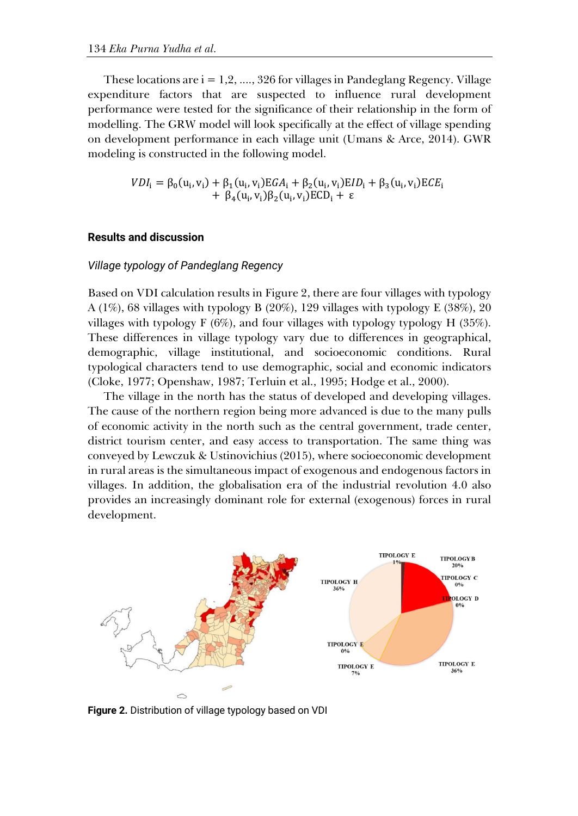These locations are  $i = 1, 2, \ldots, 326$  for villages in Pandeglang Regency. Village expenditure factors that are suspected to influence rural development performance were tested for the significance of their relationship in the form of modelling. The GRW model will look specifically at the effect of village spending on development performance in each village unit (Umans & Arce, 2014). GWR modeling is constructed in the following model.

$$
VDI_{i} = \beta_{0}(u_{i}, v_{i}) + \beta_{1}(u_{i}, v_{i})EGA_{i} + \beta_{2}(u_{i}, v_{i})EID_{i} + \beta_{3}(u_{i}, v_{i})ECE_{i} + \beta_{4}(u_{i}, v_{i})\beta_{2}(u_{i}, v_{i})ECD_{i} + \epsilon
$$

#### **Results and discussion**

### *Village typology of Pandeglang Regency*

Based on VDI calculation results in Figure 2, there are four villages with typology A (1%), 68 villages with typology B (20%), 129 villages with typology E (38%), 20 villages with typology F (6%), and four villages with typology typology H (35%). These differences in village typology vary due to differences in geographical, demographic, village institutional, and socioeconomic conditions. Rural typological characters tend to use demographic, social and economic indicators (Cloke, 1977; Openshaw, 1987; Terluin et al., 1995; Hodge et al., 2000).

The village in the north has the status of developed and developing villages. The cause of the northern region being more advanced is due to the many pulls of economic activity in the north such as the central government, trade center, district tourism center, and easy access to transportation. The same thing was conveyed by Lewczuk & Ustinovichius (2015), where socioeconomic development in rural areas is the simultaneous impact of exogenous and endogenous factors in villages. In addition, the globalisation era of the industrial revolution 4.0 also provides an increasingly dominant role for external (exogenous) forces in rural development.



**Figure 2.** Distribution of village typology based on VDI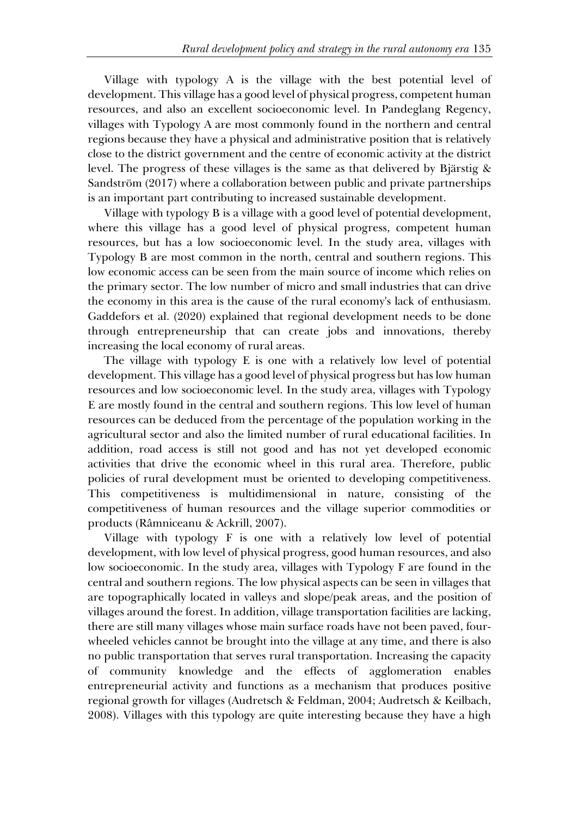Village with typology A is the village with the best potential level of development. This village has a good level of physical progress, competent human resources, and also an excellent socioeconomic level. In Pandeglang Regency, villages with Typology A are most commonly found in the northern and central regions because they have a physical and administrative position that is relatively close to the district government and the centre of economic activity at the district level. The progress of these villages is the same as that delivered by Bjärstig & Sandström (2017) where a collaboration between public and private partnerships is an important part contributing to increased sustainable development.

Village with typology B is a village with a good level of potential development, where this village has a good level of physical progress, competent human resources, but has a low socioeconomic level. In the study area, villages with Typology B are most common in the north, central and southern regions. This low economic access can be seen from the main source of income which relies on the primary sector. The low number of micro and small industries that can drive the economy in this area is the cause of the rural economy's lack of enthusiasm. Gaddefors et al. (2020) explained that regional development needs to be done through entrepreneurship that can create jobs and innovations, thereby increasing the local economy of rural areas.

The village with typology E is one with a relatively low level of potential development. This village has a good level of physical progress but has low human resources and low socioeconomic level. In the study area, villages with Typology E are mostly found in the central and southern regions. This low level of human resources can be deduced from the percentage of the population working in the agricultural sector and also the limited number of rural educational facilities. In addition, road access is still not good and has not yet developed economic activities that drive the economic wheel in this rural area. Therefore, public policies of rural development must be oriented to developing competitiveness. This competitiveness is multidimensional in nature, consisting of the competitiveness of human resources and the village superior commodities or products (Râmniceanu & Ackrill, 2007).

Village with typology F is one with a relatively low level of potential development, with low level of physical progress, good human resources, and also low socioeconomic. In the study area, villages with Typology F are found in the central and southern regions. The low physical aspects can be seen in villages that are topographically located in valleys and slope/peak areas, and the position of villages around the forest. In addition, village transportation facilities are lacking, there are still many villages whose main surface roads have not been paved, fourwheeled vehicles cannot be brought into the village at any time, and there is also no public transportation that serves rural transportation. Increasing the capacity of community knowledge and the effects of agglomeration enables entrepreneurial activity and functions as a mechanism that produces positive regional growth for villages (Audretsch & Feldman, 2004; Audretsch & Keilbach, 2008). Villages with this typology are quite interesting because they have a high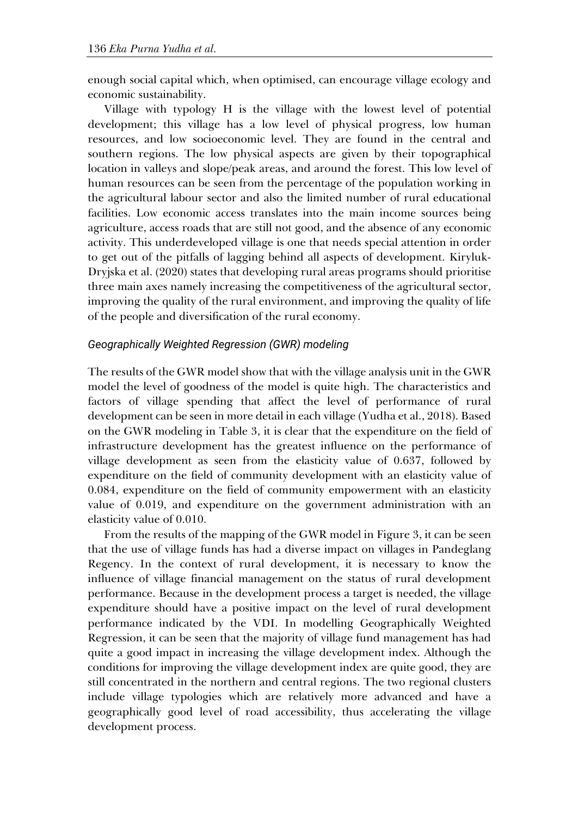enough social capital which, when optimised, can encourage village ecology and economic sustainability.

Village with typology H is the village with the lowest level of potential development; this village has a low level of physical progress, low human resources, and low socioeconomic level. They are found in the central and southern regions. The low physical aspects are given by their topographical location in valleys and slope/peak areas, and around the forest. This low level of human resources can be seen from the percentage of the population working in the agricultural labour sector and also the limited number of rural educational facilities. Low economic access translates into the main income sources being agriculture, access roads that are still not good, and the absence of any economic activity. This underdeveloped village is one that needs special attention in order to get out of the pitfalls of lagging behind all aspects of development. Kiryluk-Dryjska et al. (2020) states that developing rural areas programs should prioritise three main axes namely increasing the competitiveness of the agricultural sector, improving the quality of the rural environment, and improving the quality of life of the people and diversification of the rural economy.

#### *Geographically Weighted Regression (GWR) modeling*

The results of the GWR model show that with the village analysis unit in the GWR model the level of goodness of the model is quite high. The characteristics and factors of village spending that affect the level of performance of rural development can be seen in more detail in each village (Yudha et al., 2018). Based on the GWR modeling in Table 3, it is clear that the expenditure on the field of infrastructure development has the greatest influence on the performance of village development as seen from the elasticity value of 0.637, followed by expenditure on the field of community development with an elasticity value of 0.084, expenditure on the field of community empowerment with an elasticity value of 0.019, and expenditure on the government administration with an elasticity value of 0.010.

From the results of the mapping of the GWR model in Figure 3, it can be seen that the use of village funds has had a diverse impact on villages in Pandeglang Regency. In the context of rural development, it is necessary to know the influence of village financial management on the status of rural development performance. Because in the development process a target is needed, the village expenditure should have a positive impact on the level of rural development performance indicated by the VDI. In modelling Geographically Weighted Regression, it can be seen that the majority of village fund management has had quite a good impact in increasing the village development index. Although the conditions for improving the village development index are quite good, they are still concentrated in the northern and central regions. The two regional clusters include village typologies which are relatively more advanced and have a geographically good level of road accessibility, thus accelerating the village development process.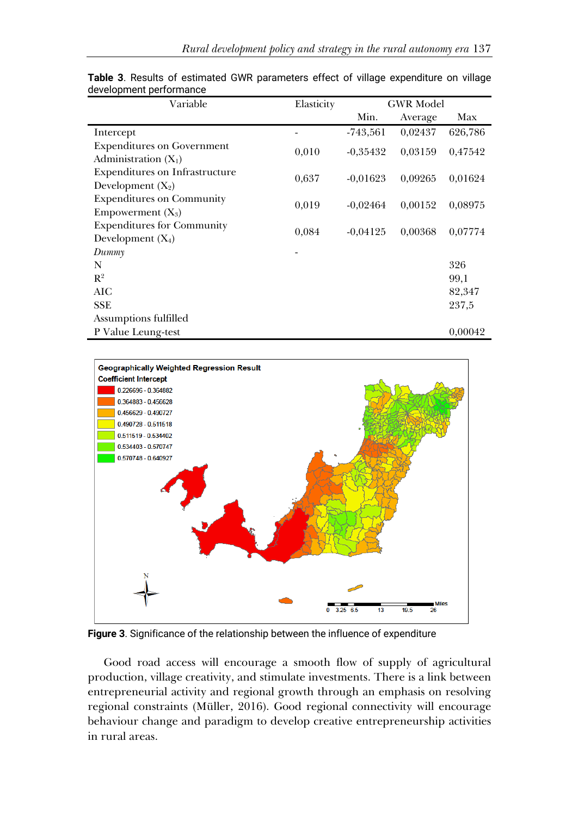| Variable                                                    | Elasticity | <b>GWR</b> Model |         |         |
|-------------------------------------------------------------|------------|------------------|---------|---------|
|                                                             |            | Min.             | Average | Max     |
| Intercept                                                   |            | $-743,561$       | 0,02437 | 626,786 |
| <b>Expenditures on Government</b><br>Administration $(X_1)$ | 0,010      | $-0.35432$       | 0,03159 | 0,47542 |
| Expenditures on Infrastructure<br>Development $(X_2)$       | 0,637      | $-0.01623$       | 0,09265 | 0,01624 |
| <b>Expenditures on Community</b><br>Empowerment $(X_3)$     | 0,019      | $-0.02464$       | 0,00152 | 0,08975 |
| <b>Expenditures for Community</b><br>Development $(X_4)$    | 0,084      | $-0.04125$       | 0,00368 | 0,07774 |
| Dummy                                                       |            |                  |         |         |
| N                                                           |            |                  |         | 326     |
| $R^2$                                                       |            |                  |         | 99,1    |
| AIC                                                         |            |                  |         | 82,347  |
| <b>SSE</b>                                                  |            |                  |         | 237,5   |
| Assumptions fulfilled                                       |            |                  |         |         |
| P Value Leung-test                                          |            |                  |         | 0,00042 |

**Table 3**. Results of estimated GWR parameters effect of village expenditure on village development performance



**Figure 3**. Significance of the relationship between the influence of expenditure

Good road access will encourage a smooth flow of supply of agricultural production, village creativity, and stimulate investments. There is a link between entrepreneurial activity and regional growth through an emphasis on resolving regional constraints (Müller, 2016). Good regional connectivity will encourage behaviour change and paradigm to develop creative entrepreneurship activities in rural areas.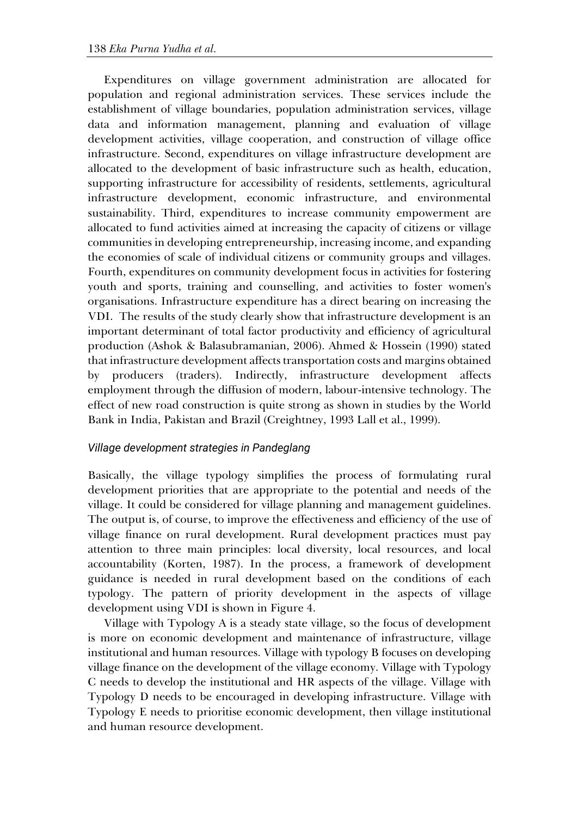Expenditures on village government administration are allocated for population and regional administration services. These services include the establishment of village boundaries, population administration services, village data and information management, planning and evaluation of village development activities, village cooperation, and construction of village office infrastructure. Second, expenditures on village infrastructure development are allocated to the development of basic infrastructure such as health, education, supporting infrastructure for accessibility of residents, settlements, agricultural infrastructure development, economic infrastructure, and environmental sustainability. Third, expenditures to increase community empowerment are allocated to fund activities aimed at increasing the capacity of citizens or village communities in developing entrepreneurship, increasing income, and expanding the economies of scale of individual citizens or community groups and villages. Fourth, expenditures on community development focus in activities for fostering youth and sports, training and counselling, and activities to foster women's organisations. Infrastructure expenditure has a direct bearing on increasing the VDI. The results of the study clearly show that infrastructure development is an important determinant of total factor productivity and efficiency of agricultural production (Ashok & Balasubramanian, 2006). Ahmed & Hossein (1990) stated that infrastructure development affects transportation costs and margins obtained by producers (traders). Indirectly, infrastructure development affects employment through the diffusion of modern, labour-intensive technology. The effect of new road construction is quite strong as shown in studies by the World Bank in India, Pakistan and Brazil (Creightney, 1993 Lall et al., 1999).

# *Village development strategies in Pandeglang*

Basically, the village typology simplifies the process of formulating rural development priorities that are appropriate to the potential and needs of the village. It could be considered for village planning and management guidelines. The output is, of course, to improve the effectiveness and efficiency of the use of village finance on rural development. Rural development practices must pay attention to three main principles: local diversity, local resources, and local accountability (Korten, 1987). In the process, a framework of development guidance is needed in rural development based on the conditions of each typology. The pattern of priority development in the aspects of village development using VDI is shown in Figure 4.

Village with Typology A is a steady state village, so the focus of development is more on economic development and maintenance of infrastructure, village institutional and human resources. Village with typology B focuses on developing village finance on the development of the village economy. Village with Typology C needs to develop the institutional and HR aspects of the village. Village with Typology D needs to be encouraged in developing infrastructure. Village with Typology E needs to prioritise economic development, then village institutional and human resource development.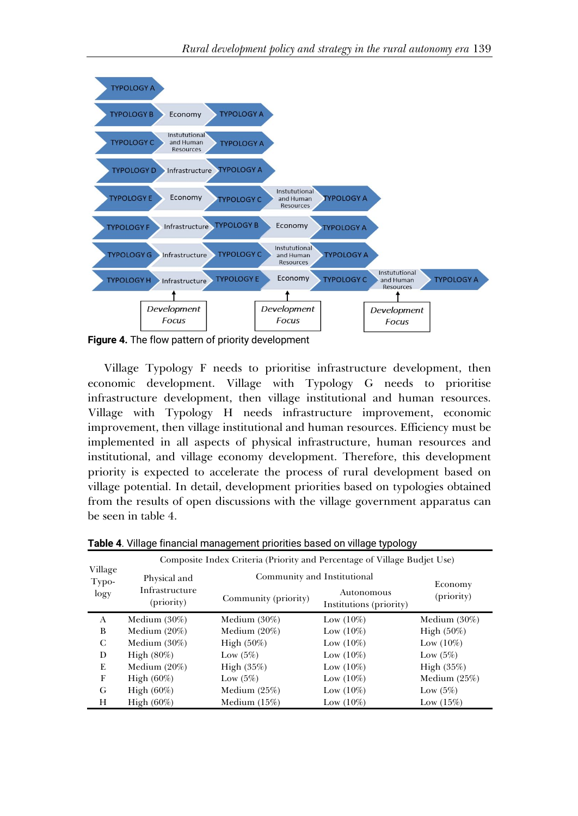

**Figure 4.** The flow pattern of priority development

Village Typology F needs to prioritise infrastructure development, then economic development. Village with Typology G needs to prioritise infrastructure development, then village institutional and human resources. Village with Typology H needs infrastructure improvement, economic improvement, then village institutional and human resources. Efficiency must be implemented in all aspects of physical infrastructure, human resources and institutional, and village economy development. Therefore, this development priority is expected to accelerate the process of rural development based on village potential. In detail, development priorities based on typologies obtained from the results of open discussions with the village government apparatus can be seen in table 4.

|                          | Composite Index Criteria (Priority and Percentage of Village Budjet Use) |                             |                                       |                 |
|--------------------------|--------------------------------------------------------------------------|-----------------------------|---------------------------------------|-----------------|
| Village<br>Typo-<br>logy | Physical and                                                             | Community and Institutional | Economy                               |                 |
|                          | Infrastructure<br>(priority)                                             | Community (priority)        | Autonomous<br>Institutions (priority) | (priority)      |
| A                        | Medium $(30\%)$                                                          | Medium $(30\%)$             | Low $(10\%)$                          | Medium $(30\%)$ |
| B                        | Medium $(20\%)$                                                          | Medium $(20\%)$             | Low $(10\%)$                          | High $(50\%)$   |
| C                        | Medium $(30\%)$                                                          | High $(50\%)$               | Low $(10\%)$                          | Low $(10\%)$    |
| D                        | High $(80\%)$                                                            | Low $(5\%)$                 | Low $(10\%)$                          | Low $(5\%)$     |
| E                        | Medium $(20\%)$                                                          | High $(35%)$                | Low $(10\%)$                          | High $(35%)$    |
| F                        | High $(60\%)$                                                            | Low $(5\%)$                 | Low $(10\%)$                          | Medium $(25%)$  |
| G                        | High $(60\%)$                                                            | Medium $(25%)$              | Low $(10\%)$                          | Low $(5%)$      |
| Н                        | High $(60\%)$                                                            | Medium $(15%)$              | Low $(10\%)$                          | Low $(15%)$     |

**Table 4**. Village financial management priorities based on village typology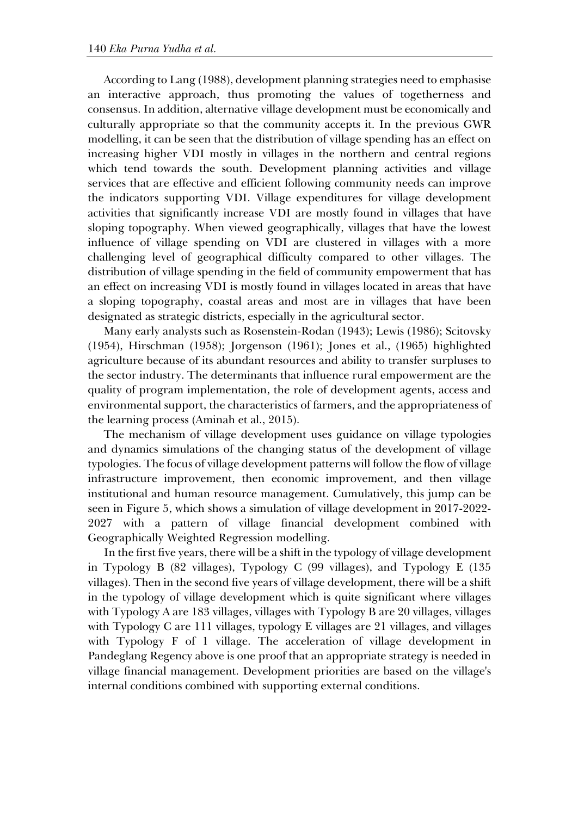According to Lang (1988), development planning strategies need to emphasise an interactive approach, thus promoting the values of togetherness and consensus. In addition, alternative village development must be economically and culturally appropriate so that the community accepts it. In the previous GWR modelling, it can be seen that the distribution of village spending has an effect on increasing higher VDI mostly in villages in the northern and central regions which tend towards the south. Development planning activities and village services that are effective and efficient following community needs can improve the indicators supporting VDI. Village expenditures for village development activities that significantly increase VDI are mostly found in villages that have sloping topography. When viewed geographically, villages that have the lowest influence of village spending on VDI are clustered in villages with a more challenging level of geographical difficulty compared to other villages. The distribution of village spending in the field of community empowerment that has an effect on increasing VDI is mostly found in villages located in areas that have a sloping topography, coastal areas and most are in villages that have been designated as strategic districts, especially in the agricultural sector.

Many early analysts such as Rosenstein-Rodan (1943); Lewis (1986); Scitovsky (1954), Hirschman (1958); Jorgenson (1961); Jones et al., (1965) highlighted agriculture because of its abundant resources and ability to transfer surpluses to the sector industry. The determinants that influence rural empowerment are the quality of program implementation, the role of development agents, access and environmental support, the characteristics of farmers, and the appropriateness of the learning process (Aminah et al., 2015).

The mechanism of village development uses guidance on village typologies and dynamics simulations of the changing status of the development of village typologies. The focus of village development patterns will follow the flow of village infrastructure improvement, then economic improvement, and then village institutional and human resource management. Cumulatively, this jump can be seen in Figure 5, which shows a simulation of village development in 2017-2022- 2027 with a pattern of village financial development combined with Geographically Weighted Regression modelling.

In the first five years, there will be a shift in the typology of village development in Typology B (82 villages), Typology C (99 villages), and Typology E (135 villages). Then in the second five years of village development, there will be a shift in the typology of village development which is quite significant where villages with Typology A are 183 villages, villages with Typology B are 20 villages, villages with Typology C are 111 villages, typology E villages are 21 villages, and villages with Typology F of 1 village. The acceleration of village development in Pandeglang Regency above is one proof that an appropriate strategy is needed in village financial management. Development priorities are based on the village's internal conditions combined with supporting external conditions.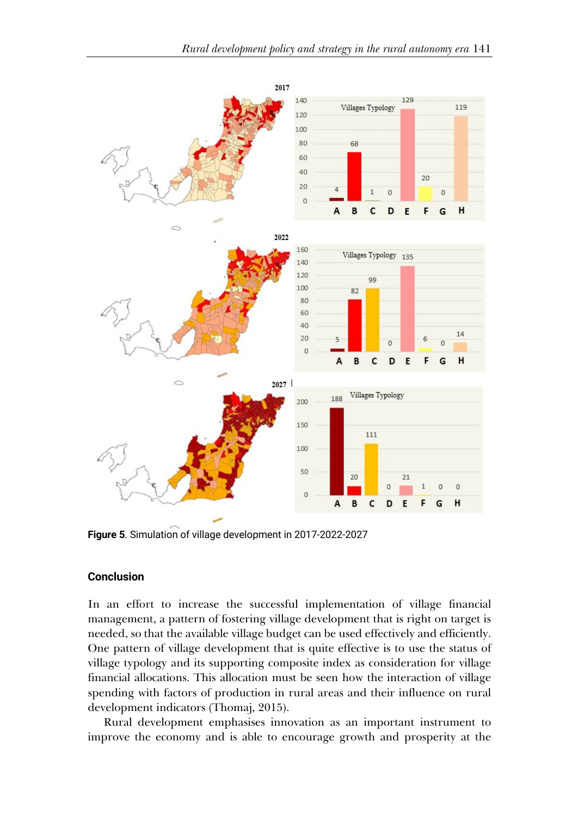

**Figure 5**. Simulation of village development in 2017-2022-2027

#### **Conclusion**

In an effort to increase the successful implementation of village financial management, a pattern of fostering village development that is right on target is needed, so that the available village budget can be used effectively and efficiently. One pattern of village development that is quite effective is to use the status of village typology and its supporting composite index as consideration for village financial allocations. This allocation must be seen how the interaction of village spending with factors of production in rural areas and their influence on rural development indicators (Thomaj, 2015).

Rural development emphasises innovation as an important instrument to improve the economy and is able to encourage growth and prosperity at the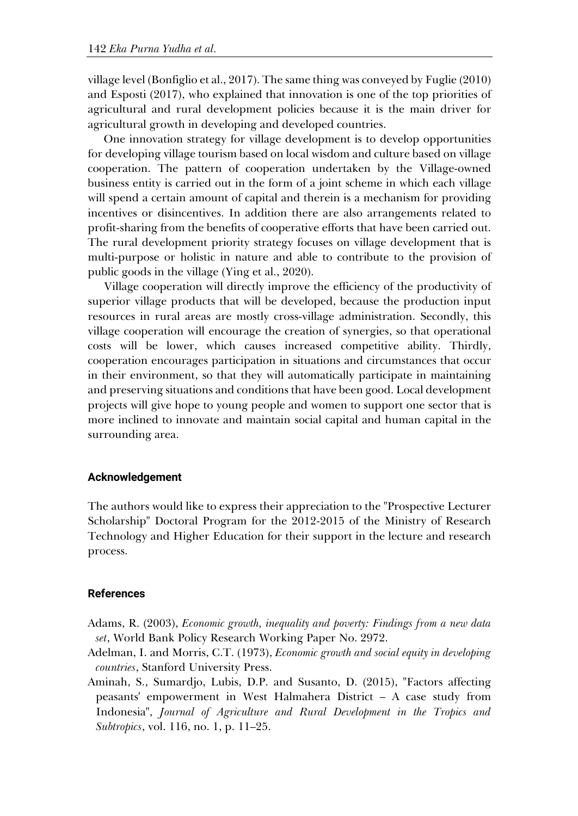village level (Bonfiglio et al., 2017). The same thing was conveyed by Fuglie (2010) and Esposti (2017), who explained that innovation is one of the top priorities of agricultural and rural development policies because it is the main driver for agricultural growth in developing and developed countries.

One innovation strategy for village development is to develop opportunities for developing village tourism based on local wisdom and culture based on village cooperation. The pattern of cooperation undertaken by the Village-owned business entity is carried out in the form of a joint scheme in which each village will spend a certain amount of capital and therein is a mechanism for providing incentives or disincentives. In addition there are also arrangements related to profit-sharing from the benefits of cooperative efforts that have been carried out. The rural development priority strategy focuses on village development that is multi-purpose or holistic in nature and able to contribute to the provision of public goods in the village (Ying et al., 2020).

Village cooperation will directly improve the efficiency of the productivity of superior village products that will be developed, because the production input resources in rural areas are mostly cross-village administration. Secondly, this village cooperation will encourage the creation of synergies, so that operational costs will be lower, which causes increased competitive ability. Thirdly, cooperation encourages participation in situations and circumstances that occur in their environment, so that they will automatically participate in maintaining and preserving situations and conditions that have been good. Local development projects will give hope to young people and women to support one sector that is more inclined to innovate and maintain social capital and human capital in the surrounding area.

#### **Acknowledgement**

The authors would like to express their appreciation to the "Prospective Lecturer Scholarship" Doctoral Program for the 2012-2015 of the Ministry of Research Technology and Higher Education for their support in the lecture and research process.

#### **References**

- Adams, R. (2003), *Economic growth, inequality and poverty: Findings from a new data set*, World Bank Policy Research Working Paper No. 2972.
- Adelman, I. and Morris, C.T. (1973), *Economic growth and social equity in developing countries*, Stanford University Press.
- Aminah, S., Sumardjo, Lubis, D.P. and Susanto, D. (2015), "Factors affecting peasants' empowerment in West Halmahera District – A case study from Indonesia", *Journal of Agriculture and Rural Development in the Tropics and Subtropics*, vol. 116, no. 1, p. 11–25.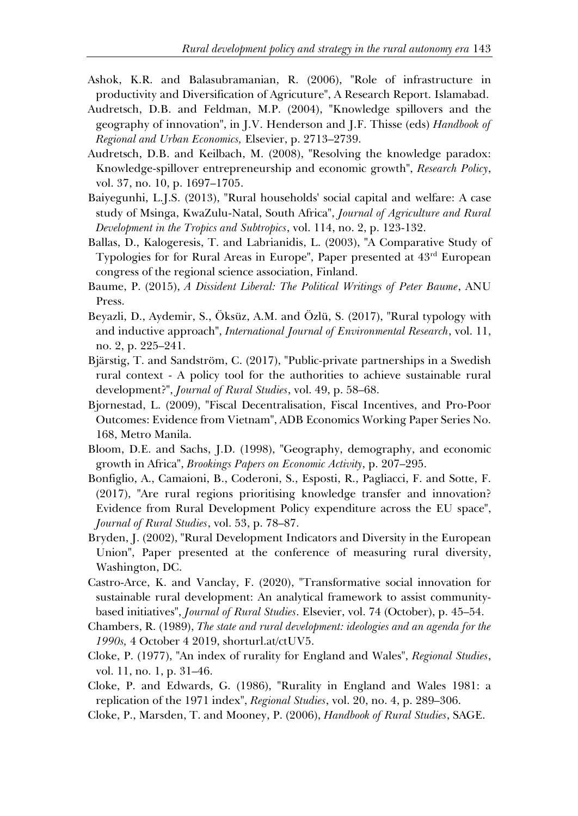- Ashok, K.R. and Balasubramanian, R. (2006), "Role of infrastructure in productivity and Diversification of Agricuture", A Research Report. Islamabad.
- Audretsch, D.B. and Feldman, M.P. (2004), "Knowledge spillovers and the geography of innovation", in J.V. Henderson and J.F. Thisse (eds) *Handbook of Regional and Urban Economics,* Elsevier, p. 2713–2739.
- Audretsch, D.B. and Keilbach, M. (2008), "Resolving the knowledge paradox: Knowledge-spillover entrepreneurship and economic growth", *Research Policy*, vol. 37, no. 10, p. 1697–1705.
- Baiyegunhi, L.J.S. (2013), "Rural households' social capital and welfare: A case study of Msinga, KwaZulu-Natal, South Africa", *Journal of Agriculture and Rural Development in the Tropics and Subtropics*, vol. 114, no. 2, p. 123-132.
- Ballas, D., Kalogeresis, T. and Labrianidis, L. (2003), "A Comparative Study of Typologies for for Rural Areas in Europe", Paper presented at 43rd European congress of the regional science association, Finland.
- Baume, P. (2015), *A Dissident Liberal: The Political Writings of Peter Baume*, ANU Press.
- Beyazli, D., Aydemir, S., Öksüz, A.M. and Özlü, S. (2017), "Rural typology with and inductive approach", *International Journal of Environmental Research*, vol. 11, no. 2, p. 225–241.
- Bjärstig, T. and Sandström, C. (2017), "Public-private partnerships in a Swedish rural context - A policy tool for the authorities to achieve sustainable rural development?", *Journal of Rural Studies*, vol. 49, p. 58–68.
- Bjornestad, L. (2009), "Fiscal Decentralisation, Fiscal Incentives, and Pro-Poor Outcomes: Evidence from Vietnam", ADB Economics Working Paper Series No. 168, Metro Manila.
- Bloom, D.E. and Sachs, J.D. (1998), "Geography, demography, and economic growth in Africa", *Brookings Papers on Economic Activity*, p. 207–295.
- Bonfiglio, A., Camaioni, B., Coderoni, S., Esposti, R., Pagliacci, F. and Sotte, F. (2017), "Are rural regions prioritising knowledge transfer and innovation? Evidence from Rural Development Policy expenditure across the EU space", *Journal of Rural Studies*, vol. 53, p. 78–87.
- Bryden, J. (2002), "Rural Development Indicators and Diversity in the European Union", Paper presented at the conference of measuring rural diversity, Washington, DC.
- Castro-Arce, K. and Vanclay, F. (2020), "Transformative social innovation for sustainable rural development: An analytical framework to assist communitybased initiatives", *Journal of Rural Studies*. Elsevier, vol. 74 (October), p. 45–54.
- Chambers, R. (1989), *The state and rural development: ideologies and an agenda for the 1990s,* 4 October 4 2019, shorturl.at/ctUV5.
- Cloke, P. (1977), "An index of rurality for England and Wales", *Regional Studies*, vol. 11, no. 1, p. 31–46.
- Cloke, P. and Edwards, G. (1986), "Rurality in England and Wales 1981: a replication of the 1971 index", *Regional Studies*, vol. 20, no. 4, p. 289–306.
- Cloke, P., Marsden, T. and Mooney, P. (2006), *Handbook of Rural Studies*, SAGE.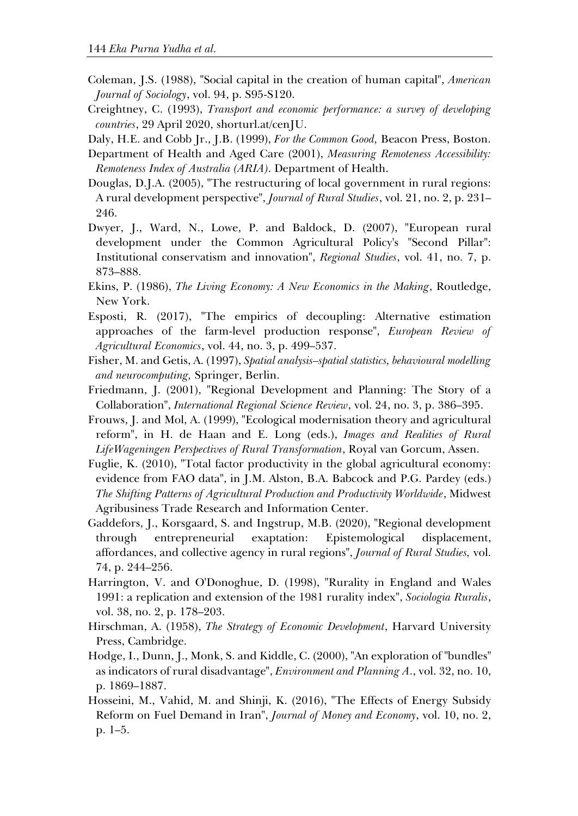- Coleman, J.S. (1988), "Social capital in the creation of human capital", *American Journal of Sociology*, vol. 94, p. S95-S120.
- Creightney, C. (1993), *Transport and economic performance: a survey of developing countries*, 29 April 2020, shorturl.at/cenJU.

Daly, H.E. and Cobb Jr., J.B. (1999), *For the Common Good,* Beacon Press, Boston.

- Department of Health and Aged Care (2001), *Measuring Remoteness Accessibility: Remoteness Index of Australia (ARIA)*. Department of Health.
- Douglas, D.J.A. (2005), "The restructuring of local government in rural regions: A rural development perspective", *Journal of Rural Studies*, vol. 21, no. 2, p. 231– 246.
- Dwyer, J., Ward, N., Lowe, P. and Baldock, D. (2007), "European rural development under the Common Agricultural Policy's "Second Pillar": Institutional conservatism and innovation", *Regional Studies*, vol. 41, no. 7, p. 873–888.
- Ekins, P. (1986), *The Living Economy: A New Economics in the Making*, Routledge, New York.
- Esposti, R. (2017), "The empirics of decoupling: Alternative estimation approaches of the farm-level production response", *European Review of Agricultural Economics*, vol. 44, no. 3, p. 499–537.
- Fisher, M. and Getis, A. (1997), *Spatial analysis–spatial statistics, behavioural modelling and neurocomputing,* Springer, Berlin.
- Friedmann, J. (2001), "Regional Development and Planning: The Story of a Collaboration", *International Regional Science Review*, vol. 24, no. 3, p. 386–395.
- Frouws, J. and Mol, A. (1999), "Ecological modernisation theory and agricultural reform", in H. de Haan and E. Long (eds.), *Images and Realities of Rural LifeWageningen Perspectives of Rural Transformation*, Royal van Gorcum, Assen.
- Fuglie, K. (2010), "Total factor productivity in the global agricultural economy: evidence from FAO data", in J.M. Alston, B.A. Babcock and P.G. Pardey (eds.) *The Shifting Patterns of Agricultural Production and Productivity Worldwide*, Midwest Agribusiness Trade Research and Information Center.
- Gaddefors, J., Korsgaard, S. and Ingstrup, M.B. (2020), "Regional development through entrepreneurial exaptation: Epistemological displacement, affordances, and collective agency in rural regions", *Journal of Rural Studies,* vol. 74, p. 244–256.
- Harrington, V. and O'Donoghue, D. (1998), "Rurality in England and Wales 1991: a replication and extension of the 1981 rurality index", *Sociologia Ruralis*, vol. 38, no. 2, p. 178–203.
- Hirschman, A. (1958), *The Strategy of Economic Development*, Harvard University Press, Cambridge.
- Hodge, I., Dunn, J., Monk, S. and Kiddle, C. (2000), "An exploration of "bundles" as indicators of rural disadvantage", *Environment and Planning A*., vol. 32, no. 10, p. 1869–1887.
- Hosseini, M., Vahid, M. and Shinji, K. (2016), "The Effects of Energy Subsidy Reform on Fuel Demand in Iran", *Journal of Money and Economy*, vol. 10, no. 2, p. 1–5.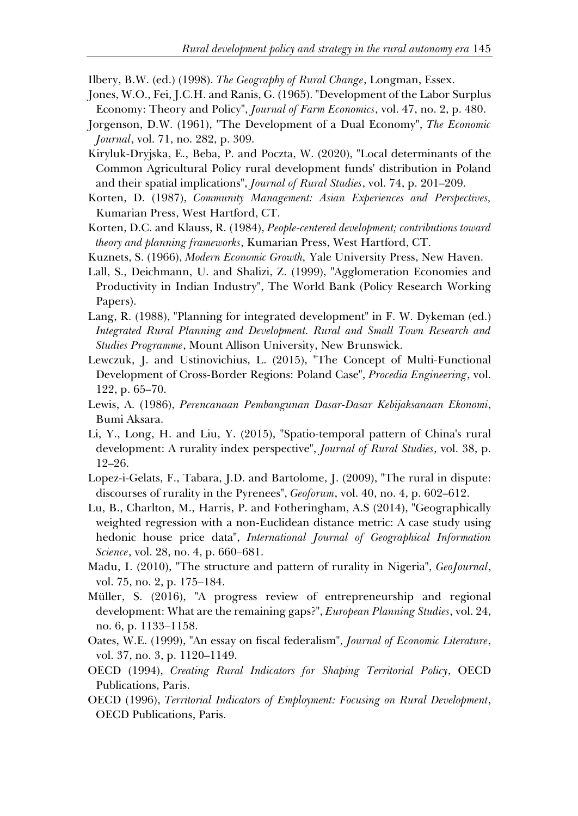Ilbery, B.W. (ed.) (1998). *The Geography of Rural Change*, Longman, Essex.

- Jones, W.O., Fei, J.C.H. and Ranis, G. (1965). "Development of the Labor Surplus Economy: Theory and Policy", *Journal of Farm Economics*, vol. 47, no. 2, p. 480.
- Jorgenson, D.W. (1961), "The Development of a Dual Economy", *The Economic Journal*, vol. 71, no. 282, p. 309.
- Kiryluk-Dryjska, E., Beba, P. and Poczta, W. (2020), "Local determinants of the Common Agricultural Policy rural development funds' distribution in Poland and their spatial implications", *Journal of Rural Studies*, vol. 74, p. 201–209.
- Korten, D. (1987), *Community Management: Asian Experiences and Perspectives,* Kumarian Press, West Hartford, CT.
- Korten, D.C. and Klauss, R. (1984), *People-centered development; contributions toward theory and planning frameworks*, Kumarian Press, West Hartford, CT.
- Kuznets, S. (1966), *Modern Economic Growth,* Yale University Press, New Haven.
- Lall, S., Deichmann, U. and Shalizi, Z. (1999), "Agglomeration Economies and Productivity in Indian Industry", The World Bank (Policy Research Working Papers).
- Lang, R. (1988), "Planning for integrated development" in F. W. Dykeman (ed.) *Integrated Rural Planning and Development. Rural and Small Town Research and Studies Programme*, Mount Allison University, New Brunswick.
- Lewczuk, J. and Ustinovichius, L. (2015), "The Concept of Multi-Functional Development of Cross-Border Regions: Poland Case", *Procedia Engineering*, vol. 122, p. 65–70.
- Lewis, A. (1986), *Perencanaan Pembangunan Dasar-Dasar Kebijaksanaan Ekonomi*, Bumi Aksara.
- Li, Y., Long, H. and Liu, Y. (2015), "Spatio-temporal pattern of China's rural development: A rurality index perspective", *Journal of Rural Studies*, vol. 38, p. 12–26.
- Lopez-i-Gelats, F., Tabara, J.D. and Bartolome, J. (2009), "The rural in dispute: discourses of rurality in the Pyrenees", *Geoforum*, vol. 40, no. 4, p. 602–612.
- Lu, B., Charlton, M., Harris, P. and Fotheringham, A.S (2014), "Geographically weighted regression with a non-Euclidean distance metric: A case study using hedonic house price data", *International Journal of Geographical Information Science*, vol. 28, no. 4, p. 660–681.
- Madu, I. (2010), "The structure and pattern of rurality in Nigeria", *GeoJournal*, vol. 75, no. 2, p. 175–184.
- Müller, S. (2016), "A progress review of entrepreneurship and regional development: What are the remaining gaps?", *European Planning Studies*, vol. 24, no. 6, p. 1133–1158.
- Oates, W.E. (1999), "An essay on fiscal federalism", *Journal of Economic Literature*, vol. 37, no. 3, p. 1120–1149.
- OECD (1994), *Creating Rural Indicators for Shaping Territorial Policy*, OECD Publications, Paris.
- OECD (1996), *Territorial Indicators of Employment: Focusing on Rural Development*, OECD Publications, Paris.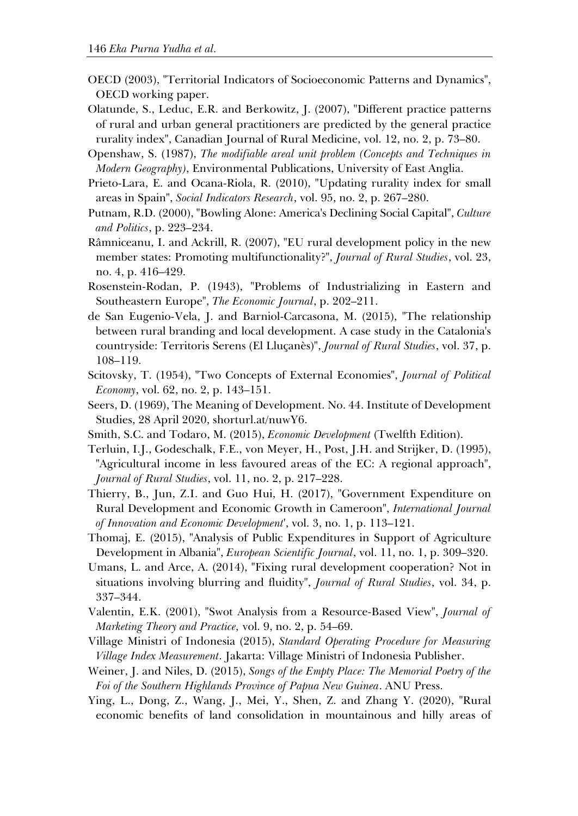- OECD (2003), "Territorial Indicators of Socioeconomic Patterns and Dynamics", OECD working paper.
- Olatunde, S., Leduc, E.R. and Berkowitz, J. (2007), "Different practice patterns of rural and urban general practitioners are predicted by the general practice rurality index", Canadian Journal of Rural Medicine, vol. 12, no. 2, p. 73–80.
- Openshaw, S. (1987), *The modifiable areal unit problem (Concepts and Techniques in Modern Geography)*, Environmental Publications, University of East Anglia.
- Prieto-Lara, E. and Ocana-Riola, R. (2010), "Updating rurality index for small areas in Spain", *Social Indicators Research*, vol. 95, no. 2, p. 267–280.
- Putnam, R.D. (2000), "Bowling Alone: America's Declining Social Capital", *Culture and Politics*, p. 223–234.
- Râmniceanu, I. and Ackrill, R. (2007), "EU rural development policy in the new member states: Promoting multifunctionality?", *Journal of Rural Studies*, vol. 23, no. 4, p. 416–429.
- Rosenstein-Rodan, P. (1943), "Problems of Industrializing in Eastern and Southeastern Europe", *The Economic Journal*, p. 202–211.
- de San Eugenio-Vela, J. and Barniol-Carcasona, M. (2015), "The relationship between rural branding and local development. A case study in the Catalonia's countryside: Territoris Serens (El Lluçanès)", *Journal of Rural Studies*, vol. 37, p. 108–119.
- Scitovsky, T. (1954), "Two Concepts of External Economies", *Journal of Political Economy*, vol. 62, no. 2, p. 143–151.
- Seers, D. (1969), The Meaning of Development. No. 44. Institute of Development Studies, 28 April 2020, shorturl.at/nuwY6.
- Smith, S.C. and Todaro, M. (2015), *Economic Development* (Twelfth Edition).
- Terluin, I.J., Godeschalk, F.E., von Meyer, H., Post, J.H. and Strijker, D. (1995), "Agricultural income in less favoured areas of the EC: A regional approach", *Journal of Rural Studies*, vol. 11, no. 2, p. 217–228.
- Thierry, B., Jun, Z.I. and Guo Hui, H. (2017), "Government Expenditure on Rural Development and Economic Growth in Cameroon", *International Journal of Innovation and Economic Development*', vol. 3, no. 1, p. 113–121.
- Thomaj, E. (2015), "Analysis of Public Expenditures in Support of Agriculture Development in Albania", *European Scientific Journal*, vol. 11, no. 1, p. 309–320.
- Umans, L. and Arce, A. (2014), "Fixing rural development cooperation? Not in situations involving blurring and fluidity", *Journal of Rural Studies*, vol. 34, p. 337–344.
- Valentin, E.K. (2001), "Swot Analysis from a Resource-Based View", *Journal of Marketing Theory and Practice,* vol. 9, no. 2, p. 54–69.
- Village Ministri of Indonesia (2015), *Standard Operating Procedure for Measuring Village Index Measurement*. Jakarta: Village Ministri of Indonesia Publisher.
- Weiner, J. and Niles, D. (2015), *Songs of the Empty Place: The Memorial Poetry of the Foi of the Southern Highlands Province of Papua New Guinea*. ANU Press.
- Ying, L., Dong, Z., Wang, J., Mei, Y., Shen, Z. and Zhang Y. (2020), "Rural economic benefits of land consolidation in mountainous and hilly areas of